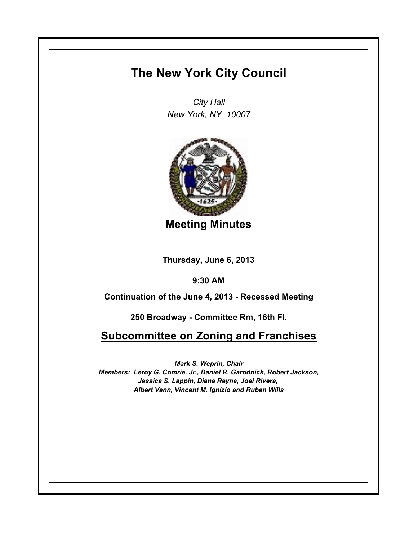## **The New York City Council**

*City Hall New York, NY 10007*



**Meeting Minutes**

**Thursday, June 6, 2013**

**9:30 AM**

**Continuation of the June 4, 2013 - Recessed Meeting**

**250 Broadway - Committee Rm, 16th Fl.**

**Subcommittee on Zoning and Franchises**

*Mark S. Weprin, Chair Members: Leroy G. Comrie, Jr., Daniel R. Garodnick, Robert Jackson, Jessica S. Lappin, Diana Reyna, Joel Rivera, Albert Vann, Vincent M. Ignizio and Ruben Wills*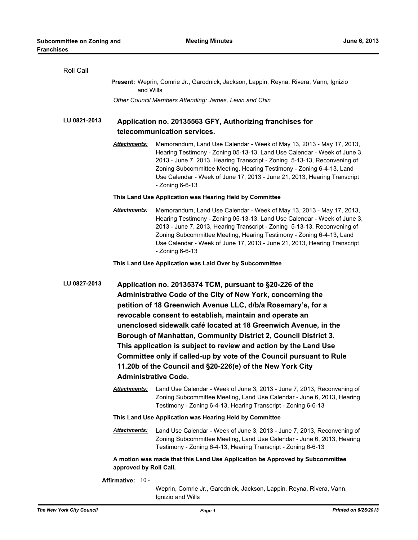| Roll Call              |                                                                                                                                                                                                                                                                                                                                                                                                                                                                                                                                                                                                                                 |  |  |
|------------------------|---------------------------------------------------------------------------------------------------------------------------------------------------------------------------------------------------------------------------------------------------------------------------------------------------------------------------------------------------------------------------------------------------------------------------------------------------------------------------------------------------------------------------------------------------------------------------------------------------------------------------------|--|--|
|                        | Present: Weprin, Comrie Jr., Garodnick, Jackson, Lappin, Reyna, Rivera, Vann, Ignizio<br>and Wills                                                                                                                                                                                                                                                                                                                                                                                                                                                                                                                              |  |  |
|                        | Other Council Members Attending: James, Levin and Chin                                                                                                                                                                                                                                                                                                                                                                                                                                                                                                                                                                          |  |  |
| LU 0821-2013           | Application no. 20135563 GFY, Authorizing franchises for<br>telecommunication services.                                                                                                                                                                                                                                                                                                                                                                                                                                                                                                                                         |  |  |
| Attachments:           | Memorandum, Land Use Calendar - Week of May 13, 2013 - May 17, 2013,<br>Hearing Testimony - Zoning 05-13-13, Land Use Calendar - Week of June 3,<br>2013 - June 7, 2013, Hearing Transcript - Zoning 5-13-13, Reconvening of<br>Zoning Subcommittee Meeting, Hearing Testimony - Zoning 6-4-13, Land<br>Use Calendar - Week of June 17, 2013 - June 21, 2013, Hearing Transcript<br>- Zoning 6-6-13                                                                                                                                                                                                                             |  |  |
|                        | This Land Use Application was Hearing Held by Committee                                                                                                                                                                                                                                                                                                                                                                                                                                                                                                                                                                         |  |  |
| Attachments:           | Memorandum, Land Use Calendar - Week of May 13, 2013 - May 17, 2013,<br>Hearing Testimony - Zoning 05-13-13, Land Use Calendar - Week of June 3,<br>2013 - June 7, 2013, Hearing Transcript - Zoning 5-13-13, Reconvening of<br>Zoning Subcommittee Meeting, Hearing Testimony - Zoning 6-4-13, Land<br>Use Calendar - Week of June 17, 2013 - June 21, 2013, Hearing Transcript<br>- Zoning 6-6-13                                                                                                                                                                                                                             |  |  |
|                        | This Land Use Application was Laid Over by Subcommittee                                                                                                                                                                                                                                                                                                                                                                                                                                                                                                                                                                         |  |  |
| LU 0827-2013           | Application no. 20135374 TCM, pursuant to §20-226 of the<br>Administrative Code of the City of New York, concerning the<br>petition of 18 Greenwich Avenue LLC, d/b/a Rosemary's, for a<br>revocable consent to establish, maintain and operate an<br>unenclosed sidewalk café located at 18 Greenwich Avenue, in the<br>Borough of Manhattan, Community District 2, Council District 3.<br>This application is subject to review and action by the Land Use<br>Committee only if called-up by vote of the Council pursuant to Rule<br>11.20b of the Council and §20-226(e) of the New York City<br><b>Administrative Code.</b> |  |  |
| <b>Attachments:</b>    | Land Use Calendar - Week of June 3, 2013 - June 7, 2013, Reconvening of<br>Zoning Subcommittee Meeting, Land Use Calendar - June 6, 2013, Hearing<br>Testimony - Zoning 6-4-13, Hearing Transcript - Zoning 6-6-13                                                                                                                                                                                                                                                                                                                                                                                                              |  |  |
|                        | This Land Use Application was Hearing Held by Committee                                                                                                                                                                                                                                                                                                                                                                                                                                                                                                                                                                         |  |  |
| Attachments:           | Land Use Calendar - Week of June 3, 2013 - June 7, 2013, Reconvening of<br>Zoning Subcommittee Meeting, Land Use Calendar - June 6, 2013, Hearing<br>Testimony - Zoning 6-4-13, Hearing Transcript - Zoning 6-6-13                                                                                                                                                                                                                                                                                                                                                                                                              |  |  |
| approved by Roll Call. | A motion was made that this Land Use Application be Approved by Subcommittee                                                                                                                                                                                                                                                                                                                                                                                                                                                                                                                                                    |  |  |
| Affirmative: 10 -      |                                                                                                                                                                                                                                                                                                                                                                                                                                                                                                                                                                                                                                 |  |  |

Ignizio and Wills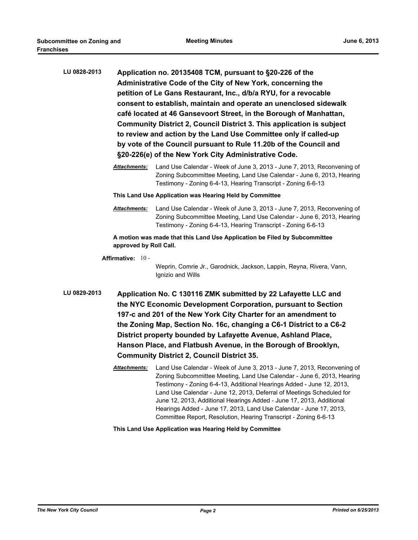| LU 0828-2013 | Application no. 20135408 TCM, pursuant to §20-226 of the<br>Administrative Code of the City of New York, concerning the<br>petition of Le Gans Restaurant, Inc., d/b/a RYU, for a revocable<br>consent to establish, maintain and operate an unenclosed sidewalk<br>café located at 46 Gansevoort Street, in the Borough of Manhattan,<br>Community District 2, Council District 3. This application is subject<br>to review and action by the Land Use Committee only if called-up<br>by vote of the Council pursuant to Rule 11.20b of the Council and<br>§20-226(e) of the New York City Administrative Code. |                                                                                                                                                                                                                                                                                                                                                                                                                                                                  |  |
|--------------|------------------------------------------------------------------------------------------------------------------------------------------------------------------------------------------------------------------------------------------------------------------------------------------------------------------------------------------------------------------------------------------------------------------------------------------------------------------------------------------------------------------------------------------------------------------------------------------------------------------|------------------------------------------------------------------------------------------------------------------------------------------------------------------------------------------------------------------------------------------------------------------------------------------------------------------------------------------------------------------------------------------------------------------------------------------------------------------|--|
|              | <u> Attachments:</u>                                                                                                                                                                                                                                                                                                                                                                                                                                                                                                                                                                                             | Land Use Calendar - Week of June 3, 2013 - June 7, 2013, Reconvening of<br>Zoning Subcommittee Meeting, Land Use Calendar - June 6, 2013, Hearing<br>Testimony - Zoning 6-4-13, Hearing Transcript - Zoning 6-6-13                                                                                                                                                                                                                                               |  |
|              | This Land Use Application was Hearing Held by Committee                                                                                                                                                                                                                                                                                                                                                                                                                                                                                                                                                          |                                                                                                                                                                                                                                                                                                                                                                                                                                                                  |  |
|              | <b>Attachments:</b>                                                                                                                                                                                                                                                                                                                                                                                                                                                                                                                                                                                              | Land Use Calendar - Week of June 3, 2013 - June 7, 2013, Reconvening of<br>Zoning Subcommittee Meeting, Land Use Calendar - June 6, 2013, Hearing<br>Testimony - Zoning 6-4-13, Hearing Transcript - Zoning 6-6-13                                                                                                                                                                                                                                               |  |
|              | approved by Roll Call.                                                                                                                                                                                                                                                                                                                                                                                                                                                                                                                                                                                           | A motion was made that this Land Use Application be Filed by Subcommittee                                                                                                                                                                                                                                                                                                                                                                                        |  |
|              | Affirmative: 10-                                                                                                                                                                                                                                                                                                                                                                                                                                                                                                                                                                                                 | Weprin, Comrie Jr., Garodnick, Jackson, Lappin, Reyna, Rivera, Vann,<br>Ignizio and Wills                                                                                                                                                                                                                                                                                                                                                                        |  |
| LU 0829-2013 |                                                                                                                                                                                                                                                                                                                                                                                                                                                                                                                                                                                                                  | Application No. C 130116 ZMK submitted by 22 Lafayette LLC and<br>the NYC Economic Development Corporation, pursuant to Section<br>197-c and 201 of the New York City Charter for an amendment to<br>the Zoning Map, Section No. 16c, changing a C6-1 District to a C6-2<br>District property bounded by Lafayette Avenue, Ashland Place,<br>Hanson Place, and Flatbush Avenue, in the Borough of Brooklyn,<br><b>Community District 2, Council District 35.</b> |  |
|              | <u> Attachments:</u>                                                                                                                                                                                                                                                                                                                                                                                                                                                                                                                                                                                             | Land Use Calendar - Week of June 3, 2013 - June 7, 2013, Reconvening of<br>Zoning Subcommittee Meeting, Land Use Calendar - June 6, 2013, Hearing<br>Testimony - Zoning 6-4-13, Additional Hearings Added - June 12, 2013,<br>Land Use Calendar - June 12, 2013, Deferral of Meetings Scheduled for<br>June 12, 2013, Additional Hearings Added - June 17, 2013, Additional<br>Hearings Added - June 17, 2013, Land Use Calendar - June 17, 2013,                |  |

Committee Report, Resolution, Hearing Transcript - Zoning 6-6-13

**This Land Use Application was Hearing Held by Committee**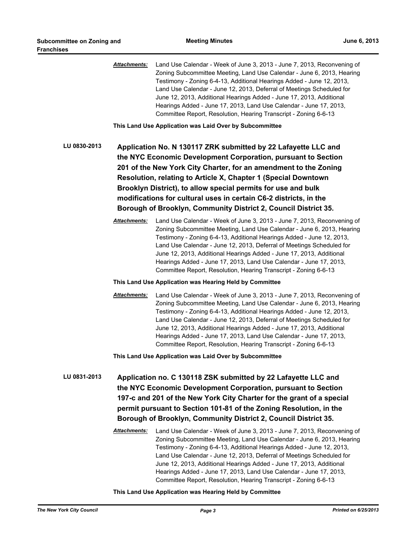*Attachments:* Land Use Calendar - Week of June 3, 2013 - June 7, 2013, Reconvening of Zoning Subcommittee Meeting, Land Use Calendar - June 6, 2013, Hearing Testimony - Zoning 6-4-13, Additional Hearings Added - June 12, 2013, Land Use Calendar - June 12, 2013, Deferral of Meetings Scheduled for June 12, 2013, Additional Hearings Added - June 17, 2013, Additional Hearings Added - June 17, 2013, Land Use Calendar - June 17, 2013, Committee Report, Resolution, Hearing Transcript - Zoning 6-6-13

**This Land Use Application was Laid Over by Subcommittee**

**LU 0830-2013 Application No. N 130117 ZRK submitted by 22 Lafayette LLC and the NYC Economic Development Corporation, pursuant to Section 201 of the New York City Charter, for an amendment to the Zoning Resolution, relating to Article X, Chapter 1 (Special Downtown Brooklyn District), to allow special permits for use and bulk modifications for cultural uses in certain C6-2 districts, in the Borough of Brooklyn, Community District 2, Council District 35.**

> *Attachments:* Land Use Calendar - Week of June 3, 2013 - June 7, 2013, Reconvening of Zoning Subcommittee Meeting, Land Use Calendar - June 6, 2013, Hearing Testimony - Zoning 6-4-13, Additional Hearings Added - June 12, 2013, Land Use Calendar - June 12, 2013, Deferral of Meetings Scheduled for June 12, 2013, Additional Hearings Added - June 17, 2013, Additional Hearings Added - June 17, 2013, Land Use Calendar - June 17, 2013, Committee Report, Resolution, Hearing Transcript - Zoning 6-6-13

**This Land Use Application was Hearing Held by Committee**

*Attachments:* Land Use Calendar - Week of June 3, 2013 - June 7, 2013, Reconvening of Zoning Subcommittee Meeting, Land Use Calendar - June 6, 2013, Hearing Testimony - Zoning 6-4-13, Additional Hearings Added - June 12, 2013, Land Use Calendar - June 12, 2013, Deferral of Meetings Scheduled for June 12, 2013, Additional Hearings Added - June 17, 2013, Additional Hearings Added - June 17, 2013, Land Use Calendar - June 17, 2013, Committee Report, Resolution, Hearing Transcript - Zoning 6-6-13

**This Land Use Application was Laid Over by Subcommittee**

**LU 0831-2013 Application no. C 130118 ZSK submitted by 22 Lafayette LLC and the NYC Economic Development Corporation, pursuant to Section 197-c and 201 of the New York City Charter for the grant of a special permit pursuant to Section 101-81 of the Zoning Resolution, in the Borough of Brooklyn, Community District 2, Council District 35.**

> *Attachments:* Land Use Calendar - Week of June 3, 2013 - June 7, 2013, Reconvening of Zoning Subcommittee Meeting, Land Use Calendar - June 6, 2013, Hearing Testimony - Zoning 6-4-13, Additional Hearings Added - June 12, 2013, Land Use Calendar - June 12, 2013, Deferral of Meetings Scheduled for June 12, 2013, Additional Hearings Added - June 17, 2013, Additional Hearings Added - June 17, 2013, Land Use Calendar - June 17, 2013, Committee Report, Resolution, Hearing Transcript - Zoning 6-6-13

## **This Land Use Application was Hearing Held by Committee**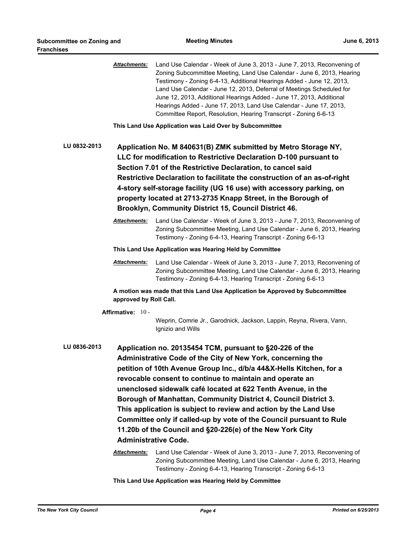|              | <b>Attachments:</b>                                                                                                                                                                                                                                                                                                                                                                                                                                                                                                                         | Land Use Calendar - Week of June 3, 2013 - June 7, 2013, Reconvening of<br>Zoning Subcommittee Meeting, Land Use Calendar - June 6, 2013, Hearing<br>Testimony - Zoning 6-4-13, Additional Hearings Added - June 12, 2013,<br>Land Use Calendar - June 12, 2013, Deferral of Meetings Scheduled for<br>June 12, 2013, Additional Hearings Added - June 17, 2013, Additional<br>Hearings Added - June 17, 2013, Land Use Calendar - June 17, 2013,<br>Committee Report, Resolution, Hearing Transcript - Zoning 6-6-13                                                                                                                                                                                                                                                                                                       |  |  |
|--------------|---------------------------------------------------------------------------------------------------------------------------------------------------------------------------------------------------------------------------------------------------------------------------------------------------------------------------------------------------------------------------------------------------------------------------------------------------------------------------------------------------------------------------------------------|-----------------------------------------------------------------------------------------------------------------------------------------------------------------------------------------------------------------------------------------------------------------------------------------------------------------------------------------------------------------------------------------------------------------------------------------------------------------------------------------------------------------------------------------------------------------------------------------------------------------------------------------------------------------------------------------------------------------------------------------------------------------------------------------------------------------------------|--|--|
| LU 0832-2013 | This Land Use Application was Laid Over by Subcommittee<br>Application No. M 840631(B) ZMK submitted by Metro Storage NY,<br>LLC for modification to Restrictive Declaration D-100 pursuant to<br>Section 7.01 of the Restrictive Declaration, to cancel said<br>Restrictive Declaration to facilitate the construction of an as-of-right<br>4-story self-storage facility (UG 16 use) with accessory parking, on<br>property located at 2713-2735 Knapp Street, in the Borough of<br>Brooklyn, Community District 15, Council District 46. |                                                                                                                                                                                                                                                                                                                                                                                                                                                                                                                                                                                                                                                                                                                                                                                                                             |  |  |
|              | <b>Attachments:</b>                                                                                                                                                                                                                                                                                                                                                                                                                                                                                                                         | Land Use Calendar - Week of June 3, 2013 - June 7, 2013, Reconvening of<br>Zoning Subcommittee Meeting, Land Use Calendar - June 6, 2013, Hearing<br>Testimony - Zoning 6-4-13, Hearing Transcript - Zoning 6-6-13                                                                                                                                                                                                                                                                                                                                                                                                                                                                                                                                                                                                          |  |  |
|              | This Land Use Application was Hearing Held by Committee                                                                                                                                                                                                                                                                                                                                                                                                                                                                                     |                                                                                                                                                                                                                                                                                                                                                                                                                                                                                                                                                                                                                                                                                                                                                                                                                             |  |  |
|              | Attachments:                                                                                                                                                                                                                                                                                                                                                                                                                                                                                                                                | Land Use Calendar - Week of June 3, 2013 - June 7, 2013, Reconvening of<br>Zoning Subcommittee Meeting, Land Use Calendar - June 6, 2013, Hearing<br>Testimony - Zoning 6-4-13, Hearing Transcript - Zoning 6-6-13                                                                                                                                                                                                                                                                                                                                                                                                                                                                                                                                                                                                          |  |  |
|              | approved by Roll Call.                                                                                                                                                                                                                                                                                                                                                                                                                                                                                                                      | A motion was made that this Land Use Application be Approved by Subcommittee                                                                                                                                                                                                                                                                                                                                                                                                                                                                                                                                                                                                                                                                                                                                                |  |  |
|              | Affirmative: 10 -                                                                                                                                                                                                                                                                                                                                                                                                                                                                                                                           | Weprin, Comrie Jr., Garodnick, Jackson, Lappin, Reyna, Rivera, Vann,<br>Ignizio and Wills                                                                                                                                                                                                                                                                                                                                                                                                                                                                                                                                                                                                                                                                                                                                   |  |  |
| LU 0836-2013 | <b>Administrative Code.</b><br><u> Attachments:</u>                                                                                                                                                                                                                                                                                                                                                                                                                                                                                         | Application no. 20135454 TCM, pursuant to §20-226 of the<br>Administrative Code of the City of New York, concerning the<br>petition of 10th Avenue Group Inc., d/b/a 44&X-Hells Kitchen, for a<br>revocable consent to continue to maintain and operate an<br>unenclosed sidewalk café located at 622 Tenth Avenue, in the<br>Borough of Manhattan, Community District 4, Council District 3.<br>This application is subject to review and action by the Land Use<br>Committee only if called-up by vote of the Council pursuant to Rule<br>11.20b of the Council and §20-226(e) of the New York City<br>Land Use Calendar - Week of June 3, 2013 - June 7, 2013, Reconvening of<br>Zoning Subcommittee Meeting, Land Use Calendar - June 6, 2013, Hearing<br>Testimony - Zoning 6-4-13, Hearing Transcript - Zoning 6-6-13 |  |  |

**This Land Use Application was Hearing Held by Committee**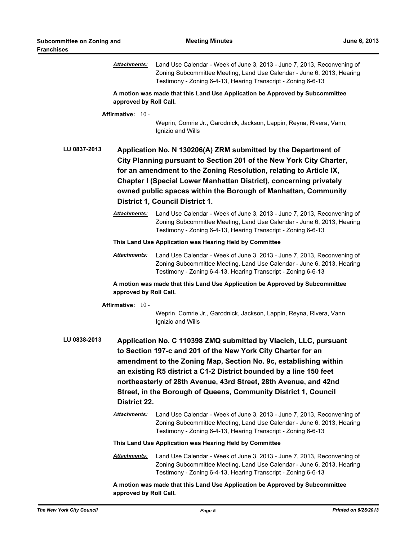|                                                         | <b>Attachments:</b>                                                                                                                                                                                                                                                                                                                                                                                                               | Land Use Calendar - Week of June 3, 2013 - June 7, 2013, Reconvening of<br>Zoning Subcommittee Meeting, Land Use Calendar - June 6, 2013, Hearing<br>Testimony - Zoning 6-4-13, Hearing Transcript - Zoning 6-6-13                                                                                                                                                                            |  |  |
|---------------------------------------------------------|-----------------------------------------------------------------------------------------------------------------------------------------------------------------------------------------------------------------------------------------------------------------------------------------------------------------------------------------------------------------------------------------------------------------------------------|-----------------------------------------------------------------------------------------------------------------------------------------------------------------------------------------------------------------------------------------------------------------------------------------------------------------------------------------------------------------------------------------------|--|--|
|                                                         | approved by Roll Call.                                                                                                                                                                                                                                                                                                                                                                                                            | A motion was made that this Land Use Application be Approved by Subcommittee                                                                                                                                                                                                                                                                                                                  |  |  |
|                                                         | Affirmative: 10 -                                                                                                                                                                                                                                                                                                                                                                                                                 | Weprin, Comrie Jr., Garodnick, Jackson, Lappin, Reyna, Rivera, Vann,<br>Ignizio and Wills                                                                                                                                                                                                                                                                                                     |  |  |
| LU 0837-2013                                            |                                                                                                                                                                                                                                                                                                                                                                                                                                   | Application No. N 130206(A) ZRM submitted by the Department of<br>City Planning pursuant to Section 201 of the New York City Charter,<br>for an amendment to the Zoning Resolution, relating to Article IX,<br>Chapter I (Special Lower Manhattan District), concerning privately<br>owned public spaces within the Borough of Manhattan, Community<br><b>District 1, Council District 1.</b> |  |  |
|                                                         | <b>Attachments:</b>                                                                                                                                                                                                                                                                                                                                                                                                               | Land Use Calendar - Week of June 3, 2013 - June 7, 2013, Reconvening of<br>Zoning Subcommittee Meeting, Land Use Calendar - June 6, 2013, Hearing<br>Testimony - Zoning 6-4-13, Hearing Transcript - Zoning 6-6-13                                                                                                                                                                            |  |  |
| This Land Use Application was Hearing Held by Committee |                                                                                                                                                                                                                                                                                                                                                                                                                                   |                                                                                                                                                                                                                                                                                                                                                                                               |  |  |
|                                                         | <b>Attachments:</b>                                                                                                                                                                                                                                                                                                                                                                                                               | Land Use Calendar - Week of June 3, 2013 - June 7, 2013, Reconvening of<br>Zoning Subcommittee Meeting, Land Use Calendar - June 6, 2013, Hearing<br>Testimony - Zoning 6-4-13, Hearing Transcript - Zoning 6-6-13                                                                                                                                                                            |  |  |
|                                                         | approved by Roll Call.                                                                                                                                                                                                                                                                                                                                                                                                            | A motion was made that this Land Use Application be Approved by Subcommittee                                                                                                                                                                                                                                                                                                                  |  |  |
|                                                         | Affirmative: 10 -                                                                                                                                                                                                                                                                                                                                                                                                                 | Weprin, Comrie Jr., Garodnick, Jackson, Lappin, Reyna, Rivera, Vann,<br>Ignizio and Wills                                                                                                                                                                                                                                                                                                     |  |  |
| LU 0838-2013                                            | Application No. C 110398 ZMQ submitted by Vlacich, LLC, pursuant<br>to Section 197-c and 201 of the New York City Charter for an<br>amendment to the Zoning Map, Section No. 9c, establishing within<br>an existing R5 district a C1-2 District bounded by a line 150 feet<br>northeasterly of 28th Avenue, 43rd Street, 28th Avenue, and 42nd<br>Street, in the Borough of Queens, Community District 1, Council<br>District 22. |                                                                                                                                                                                                                                                                                                                                                                                               |  |  |
|                                                         | Attachments:                                                                                                                                                                                                                                                                                                                                                                                                                      | Land Use Calendar - Week of June 3, 2013 - June 7, 2013, Reconvening of<br>Zoning Subcommittee Meeting, Land Use Calendar - June 6, 2013, Hearing<br>Testimony - Zoning 6-4-13, Hearing Transcript - Zoning 6-6-13                                                                                                                                                                            |  |  |
|                                                         |                                                                                                                                                                                                                                                                                                                                                                                                                                   | This Land Use Application was Hearing Held by Committee                                                                                                                                                                                                                                                                                                                                       |  |  |
|                                                         | <b>Attachments:</b>                                                                                                                                                                                                                                                                                                                                                                                                               | Land Use Calendar - Week of June 3, 2013 - June 7, 2013, Reconvening of<br>Zoning Subcommittee Meeting, Land Use Calendar - June 6, 2013, Hearing<br>Testimony - Zoning 6-4-13, Hearing Transcript - Zoning 6-6-13                                                                                                                                                                            |  |  |
|                                                         | approved by Roll Call.                                                                                                                                                                                                                                                                                                                                                                                                            | A motion was made that this Land Use Application be Approved by Subcommittee                                                                                                                                                                                                                                                                                                                  |  |  |